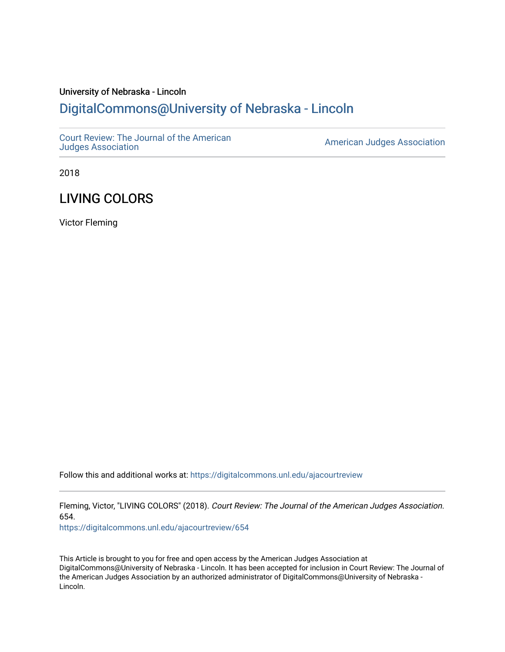## University of Nebraska - Lincoln [DigitalCommons@University of Nebraska - Lincoln](https://digitalcommons.unl.edu/)

[Court Review: The Journal of the American](https://digitalcommons.unl.edu/ajacourtreview)

[Judges Association](https://digitalcommons.unl.edu/ajacourtreview) [American Judges Association](https://digitalcommons.unl.edu/amjudgesassn) 

2018

# LIVING COLORS

Victor Fleming

Follow this and additional works at: [https://digitalcommons.unl.edu/ajacourtreview](https://digitalcommons.unl.edu/ajacourtreview?utm_source=digitalcommons.unl.edu%2Fajacourtreview%2F654&utm_medium=PDF&utm_campaign=PDFCoverPages) 

Fleming, Victor, "LIVING COLORS" (2018). Court Review: The Journal of the American Judges Association. 654.

[https://digitalcommons.unl.edu/ajacourtreview/654](https://digitalcommons.unl.edu/ajacourtreview/654?utm_source=digitalcommons.unl.edu%2Fajacourtreview%2F654&utm_medium=PDF&utm_campaign=PDFCoverPages) 

This Article is brought to you for free and open access by the American Judges Association at DigitalCommons@University of Nebraska - Lincoln. It has been accepted for inclusion in Court Review: The Journal of the American Judges Association by an authorized administrator of DigitalCommons@University of Nebraska - Lincoln.